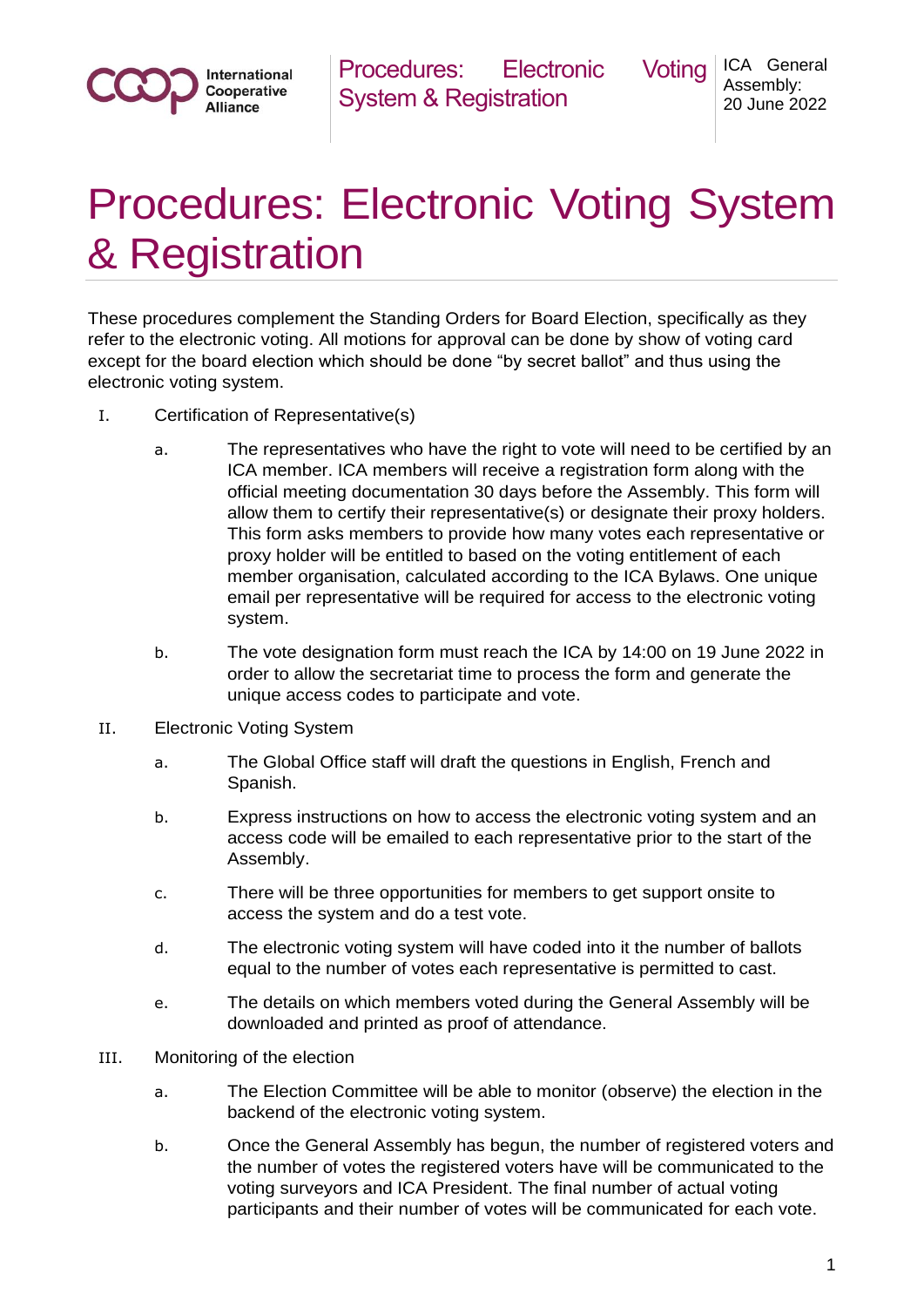

Procedures: Electronic Voting System & Registration

ICA General Assembly: 20 June 2022

## Procedures: Electronic Voting System & Registration

These procedures complement the Standing Orders for Board Election, specifically as they refer to the electronic voting. All motions for approval can be done by show of voting card except for the board election which should be done "by secret ballot" and thus using the electronic voting system.

- I. Certification of Representative(s)
	- a. The representatives who have the right to vote will need to be certified by an ICA member. ICA members will receive a registration form along with the official meeting documentation 30 days before the Assembly. This form will allow them to certify their representative(s) or designate their proxy holders. This form asks members to provide how many votes each representative or proxy holder will be entitled to based on the voting entitlement of each member organisation, calculated according to the ICA Bylaws. One unique email per representative will be required for access to the electronic voting system.
	- b. The vote designation form must reach the ICA by 14:00 on 19 June 2022 in order to allow the secretariat time to process the form and generate the unique access codes to participate and vote.
- II. Electronic Voting System
	- a. The Global Office staff will draft the questions in English, French and Spanish.
	- b. Express instructions on how to access the electronic voting system and an access code will be emailed to each representative prior to the start of the Assembly.
	- c. There will be three opportunities for members to get support onsite to access the system and do a test vote.
	- d. The electronic voting system will have coded into it the number of ballots equal to the number of votes each representative is permitted to cast.
	- e. The details on which members voted during the General Assembly will be downloaded and printed as proof of attendance.
- III. Monitoring of the election
	- a. The Election Committee will be able to monitor (observe) the election in the backend of the electronic voting system.
	- b. Once the General Assembly has begun, the number of registered voters and the number of votes the registered voters have will be communicated to the voting surveyors and ICA President. The final number of actual voting participants and their number of votes will be communicated for each vote.